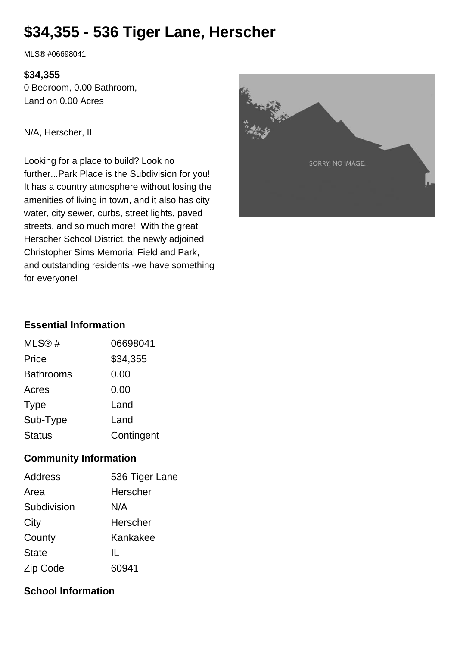# **\$34,355 - 536 Tiger Lane, Herscher**

MLS® #06698041

#### **\$34,355**

0 Bedroom, 0.00 Bathroom, Land on 0.00 Acres

N/A, Herscher, IL

Looking for a place to build? Look no further...Park Place is the Subdivision for you! It has a country atmosphere without losing the amenities of living in town, and it also has city water, city sewer, curbs, street lights, paved streets, and so much more! With the great Herscher School District, the newly adjoined Christopher Sims Memorial Field and Park, and outstanding residents -we have something for everyone!



# **Essential Information**

| MLS@#            | 06698041   |
|------------------|------------|
| Price            | \$34,355   |
| <b>Bathrooms</b> | 0.00       |
| Acres            | 0.00       |
| <b>Type</b>      | Land       |
| Sub-Type         | Land       |
| <b>Status</b>    | Contingent |

## **Community Information**

| <b>Address</b> | 536 Tiger Lane |
|----------------|----------------|
| Area           | Herscher       |
| Subdivision    | N/A            |
| City           | Herscher       |
| County         | Kankakee       |
| <b>State</b>   | Ш.             |
| Zip Code       | 60941          |

## **School Information**